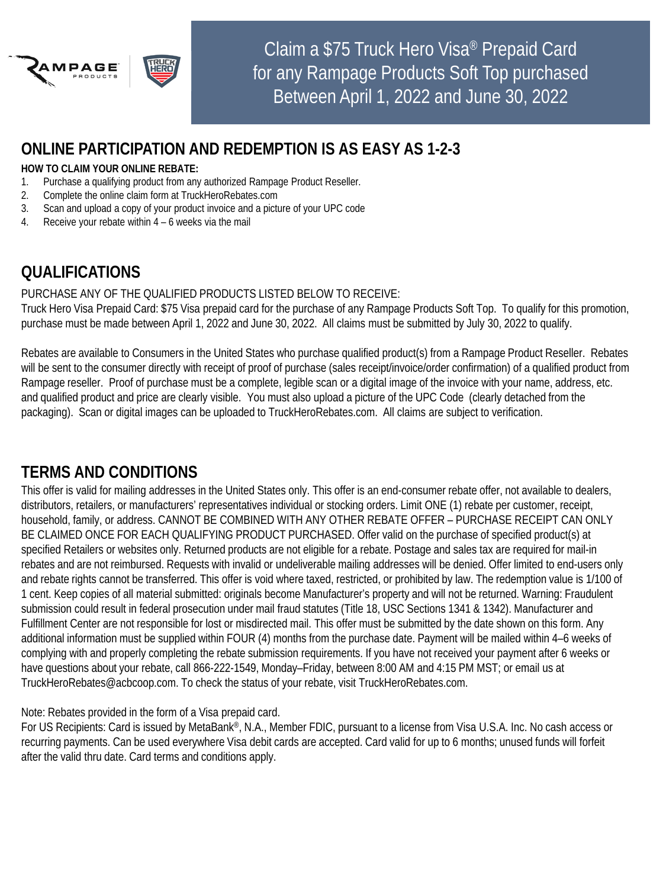

## **ONLINE PARTICIPATION AND REDEMPTION IS AS EASY AS 1-2-3**

#### **HOW TO CLAIM YOUR ONLINE REBATE:**

- 1. Purchase a qualifying product from any authorized Rampage Product Reseller.
- 2. Complete the online claim form at TruckHeroRebates.com
- 3. Scan and upload a copy of your product invoice and a picture of your UPC code
- 4. Receive your rebate within 4 6 weeks via the mail

# **QUALIFICATIONS**

#### PURCHASE ANY OF THE QUALIFIED PRODUCTS LISTED BELOW TO RECEIVE:

Truck Hero Visa Prepaid Card: \$75 Visa prepaid card for the purchase of any Rampage Products Soft Top. To qualify for this promotion, purchase must be made between April 1, 2022 and June 30, 2022. All claims must be submitted by July 30, 2022 to qualify.

Rebates are available to Consumers in the United States who purchase qualified product(s) from a Rampage Product Reseller. Rebates will be sent to the consumer directly with receipt of proof of purchase (sales receipt/invoice/order confirmation) of a qualified product from Rampage reseller. Proof of purchase must be a complete, legible scan or a digital image of the invoice with your name, address, etc. and qualified product and price are clearly visible. You must also upload a picture of the UPC Code (clearly detached from the packaging). Scan or digital images can be uploaded to TruckHeroRebates.com. All claims are subject to verification.

### **TERMS AND CONDITIONS**

This offer is valid for mailing addresses in the United States only. This offer is an end-consumer rebate offer, not available to dealers, distributors, retailers, or manufacturers' representatives individual or stocking orders. Limit ONE (1) rebate per customer, receipt, household, family, or address. CANNOT BE COMBINED WITH ANY OTHER REBATE OFFER – PURCHASE RECEIPT CAN ONLY BE CLAIMED ONCE FOR EACH QUALIFYING PRODUCT PURCHASED. Offer valid on the purchase of specified product(s) at specified Retailers or websites only. Returned products are not eligible for a rebate. Postage and sales tax are required for mail-in rebates and are not reimbursed. Requests with invalid or undeliverable mailing addresses will be denied. Offer limited to end-users only and rebate rights cannot be transferred. This offer is void where taxed, restricted, or prohibited by law. The redemption value is 1/100 of 1 cent. Keep copies of all material submitted: originals become Manufacturer's property and will not be returned. Warning: Fraudulent submission could result in federal prosecution under mail fraud statutes (Title 18, USC Sections 1341 & 1342). Manufacturer and Fulfillment Center are not responsible for lost or misdirected mail. This offer must be submitted by the date shown on this form. Any additional information must be supplied within FOUR (4) months from the purchase date. Payment will be mailed within 4–6 weeks of complying with and properly completing the rebate submission requirements. If you have not received your payment after 6 weeks or have questions about your rebate, call 866-222-1549, Monday–Friday, between 8:00 AM and 4:15 PM MST; or email us at TruckHeroRebates@acbcoop.com. To check the status of your rebate, visit TruckHeroRebates.com.

Note: Rebates provided in the form of a Visa prepaid card.

For US Recipients: Card is issued by MetaBank®, N.A., Member FDIC, pursuant to a license from Visa U.S.A. Inc. No cash access or recurring payments. Can be used everywhere Visa debit cards are accepted. Card valid for up to 6 months; unused funds will forfeit after the valid thru date. Card terms and conditions apply.